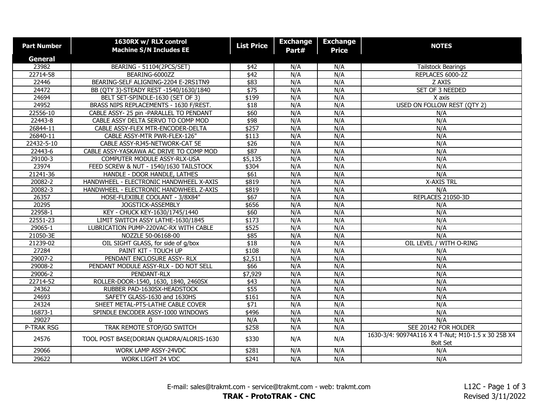| <b>Part Number</b> | 1630RX w/ RLX control<br><b>Machine S/N Includes EE</b> | <b>List Price</b>   | <b>Exchange</b><br>Part# | <b>Exchange</b><br><b>Price</b> | <b>NOTES</b>                                                          |
|--------------------|---------------------------------------------------------|---------------------|--------------------------|---------------------------------|-----------------------------------------------------------------------|
| <b>General</b>     |                                                         |                     |                          |                                 |                                                                       |
| 23982              | BEARING - 51104(2PCS/SET)                               | \$42                | N/A                      | N/A                             | <b>Tailstock Bearings</b>                                             |
| 22714-58           | BEARING-6000ZZ                                          | $\sqrt{$42}$        | N/A                      | N/A                             | REPLACES 6000-2Z                                                      |
| 22446              | BEARING-SELF ALIGNING-2204 E-2RS1TN9                    | \$83                | N/A                      | N/A                             | Z AXIS                                                                |
| 24472              | BB (QTY 3)-STEADY REST -1540/1630/1840                  | $\overline{$}$ \$75 | N/A                      | N/A                             | SET OF 3 NEEDED                                                       |
| 24694              | BELT SET-SPINDLE-1630 (SET OF 3)                        | \$199               | N/A                      | N/A                             | X axis                                                                |
| 24952              | BRASS NIPS REPLACEMENTS - 1630 F/REST.                  | \$18                | N/A                      | N/A                             | USED ON FOLLOW REST (QTY 2)                                           |
| 22556-10           | CABLE ASSY- 25 pin -PARALLEL TO PENDANT                 | \$60                | N/A                      | N/A                             | N/A                                                                   |
| 22443-8            | CABLE ASSY DELTA SERVO TO COMP MOD                      | \$98                | N/A                      | N/A                             | N/A                                                                   |
| 26844-11           | CABLE ASSY-FLEX MTR-ENCODER-DELTA                       | \$257               | N/A                      | N/A                             | N/A                                                                   |
| 26840-11           | CABLE ASSY-MTR PWR-FLEX-126"                            | \$113               | N/A                      | N/A                             | N/A                                                                   |
| 22432-5-10         | CABLE ASSY-RJ45-NETWORK-CAT 5E                          | $\overline{$26}$    | N/A                      | N/A                             | N/A                                                                   |
| 22443-6            | CABLE ASSY-YASKAWA AC DRIVE TO COMP MOD                 | $\sqrt{$87}$        | N/A                      | N/A                             | N/A                                                                   |
| 29100-3            | COMPUTER MODULE ASSY-RLX-USA                            | \$5,135             | N/A                      | N/A                             | N/A                                                                   |
| 23974              | FEED SCREW & NUT - 1540/1630 TAILSTOCK                  | \$304               | N/A                      | N/A                             | N/A                                                                   |
| 21241-36           | HANDLE - DOOR HANDLE, LATHES                            | $\overline{$61}$    | N/A                      | N/A                             | N/A                                                                   |
| 20082-2            | HANDWHEEL - ELECTRONIC HANDWHEEL X-AXIS                 | \$819               | N/A                      | N/A                             | <b>X-AXIS TRL</b>                                                     |
| 20082-3            | HANDWHEEL - ELECTRONIC HANDWHEEL Z-AXIS                 | \$819               | N/A                      | N/A                             | N/A                                                                   |
| 26357              | HOSE-FLEXIBLE COOLANT - 3/8X84"                         | \$67                | N/A                      | N/A                             | REPLACES 21050-3D                                                     |
| 20295              | JOGSTICK-ASSEMBLY                                       | \$656               | N/A                      | N/A                             | N/A                                                                   |
| 22958-1            | KEY - CHUCK KEY-1630/1745/1440                          | \$60                | N/A                      | N/A                             | N/A                                                                   |
| 22551-23           | LIMIT SWITCH ASSY LATHE-1630/1845                       | \$173               | N/A                      | N/A                             | N/A                                                                   |
| 29065-1            | LUBRICATION PUMP-220VAC-RX WITH CABLE                   | \$525               | N/A                      | N/A                             | N/A                                                                   |
| 21050-3E           | NOZZLE 50-06168-00                                      | \$85                | N/A                      | N/A                             | N/A                                                                   |
| 21239-02           | OIL SIGHT GLASS, for side of g/box                      | \$18                | N/A                      | N/A                             | OIL LEVEL / WITH O-RING                                               |
| 27284              | PAINT KIT - TOUCH UP                                    | \$108               | N/A                      | N/A                             | N/A                                                                   |
| 29007-2            | PENDANT ENCLOSURE ASSY-RLX                              | \$2,511             | N/A                      | N/A                             | N/A                                                                   |
| 29008-2            | PENDANT MODULE ASSY-RLX - DO NOT SELL                   | \$66                | N/A                      | N/A                             | N/A                                                                   |
| 29006-2            | PENDANT-RLX                                             | \$7,929             | N/A                      | N/A                             | N/A                                                                   |
| 22714-52           | ROLLER-DOOR-1540, 1630, 1840, 2460SX                    | \$43                | N/A                      | N/A                             | N/A                                                                   |
| 24362              | RUBBER PAD-1630SX-HEADSTOCK                             | \$55                | N/A                      | N/A                             | N/A                                                                   |
| 24693              | SAFETY GLASS-1630 and 1630HS                            | \$161               | N/A                      | N/A                             | N/A                                                                   |
| 24324              | SHEET METAL-PT5-LATHE CABLE COVER                       | $\overline{$}$ \$71 | N/A                      | N/A                             | N/A                                                                   |
| 16873-1            | SPINDLE ENCODER ASSY-1000 WINDOWS                       | \$496               | N/A                      | N/A                             | N/A                                                                   |
| 29027              | $\Omega$                                                | N/A                 | N/A                      | N/A                             | N/A                                                                   |
| P-TRAK RSG         | TRAK REMOTE STOP/GO SWITCH                              | \$258               | N/A                      | N/A                             | SEE 20142 FOR HOLDER                                                  |
| 24576              | TOOL POST BASE(DORIAN QUADRA/ALORIS-1630                | \$330               | N/A                      | N/A                             | 1630-3/4: 90974A116 X 4 T-Nut; M10-1.5 x 30 25B X4<br><b>Bolt Set</b> |
| 29066              | WORK LAMP ASSY-24VDC                                    | \$281               | N/A                      | N/A                             | N/A                                                                   |
| 29622              | WORK LIGHT 24 VDC                                       | \$241               | N/A                      | N/A                             | N/A                                                                   |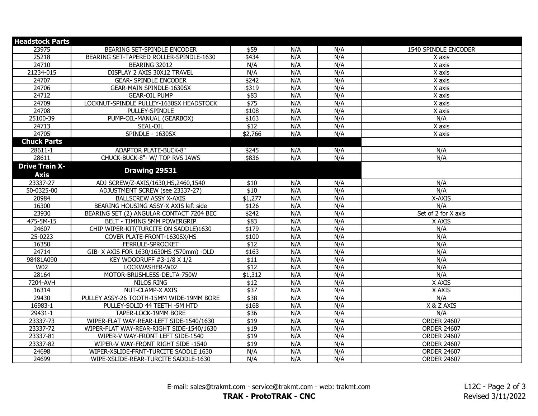| <b>Headstock Parts</b> |                                          |                  |     |     |                      |
|------------------------|------------------------------------------|------------------|-----|-----|----------------------|
| 23975                  | BEARING SET-SPINDLE ENCODER              | \$59             | N/A | N/A | 1540 SPINDLE ENCODER |
| 25218                  | BEARING SET-TAPERED ROLLER-SPINDLE-1630  | \$434            | N/A | N/A | X axis               |
| 24710                  | BEARING 32012                            | N/A              | N/A | N/A | X axis               |
| 21234-015              | DISPLAY 2 AXIS 30X12 TRAVEL              | N/A              | N/A | N/A | $\overline{X}$ axis  |
| 24707                  | <b>GEAR- SPINDLE ENCODER</b>             | \$242            | N/A | N/A | $\overline{X}$ axis  |
| 24706                  | GEAR-MAIN SPINDLE-1630SX                 | \$319            | N/A | N/A | X axis               |
| 24712                  | <b>GEAR-OIL PUMP</b>                     | \$83             | N/A | N/A | X axis               |
| 24709                  | LOCKNUT-SPINDLE PULLEY-1630SX HEADSTOCK  | \$75             | N/A | N/A | X axis               |
| 24708                  | PULLEY-SPINDLE                           | \$108            | N/A | N/A | X axis               |
| 25100-39               | PUMP-OIL-MANUAL (GEARBOX)                | \$163            | N/A | N/A | N/A                  |
| 24713                  | SEAL-OIL                                 | $\overline{$12}$ | N/A | N/A | X axis               |
| 24705                  | SPINDLE - 1630SX                         | \$2,766          | N/A | N/A | X axis               |
| <b>Chuck Parts</b>     |                                          |                  |     |     |                      |
| $28611 - 1$            | ADAPTOR PLATE-BUCK-8"                    | \$245            | N/A | N/A | N/A                  |
| 28611                  | CHUCK-BUCK-8"- W/ TOP RVS JAWS           | \$836            | N/A | N/A | N/A                  |
| <b>Drive Train X-</b>  |                                          |                  |     |     |                      |
| <b>Axis</b>            | Drawing 29531                            |                  |     |     |                      |
| 23337-27               | ADJ SCREW/Z-AXIS/1630, HS, 2460, 1540    | \$10             | N/A | N/A | N/A                  |
| 50-0325-00             | ADJUSTMENT SCREW (see 23337-27)          | $\overline{$10}$ | N/A | N/A | N/A                  |
| 20984                  | <b>BALLSCREW ASSY X-AXIS</b>             | \$1,277          | N/A | N/A | X-AXIS               |
| 16300                  | BEARING HOUSING ASSY-X AXIS left side    | \$126            | N/A | N/A | N/A                  |
| 23930                  | BEARING SET (2) ANGULAR CONTACT 7204 BEC | \$242            | N/A | N/A | Set of 2 for X axis  |
| 475-5M-15              | BELT - TIMING 5MM POWERGRIP              | \$83             | N/A | N/A | X AXIS               |
| 24607                  | CHIP WIPER-KIT(TURCITE ON SADDLE)1630    | \$179            | N/A | N/A | N/A                  |
| 25-0223                | COVER PLATE-FRONT-1630SX/HS              | \$100            | N/A | N/A | N/A                  |
| 16350                  | FERRULE-SPROCKET                         | \$12             | N/A | N/A | N/A                  |
| 24714                  | GIB- X AXIS FOR 1630/1630HS (570mm) -OLD | \$163            | N/A | N/A | N/A                  |
| 98481A090              | KEY WOODRUFF #3-1/8 X 1/2                | \$11             | N/A | N/A | N/A                  |
| W02                    | LOCKWASHER-W02                           | \$12             | N/A | N/A | N/A                  |
| 28164                  | MOTOR-BRUSHLESS-DELTA-750W               | \$1,312          | N/A | N/A | N/A                  |
| 7204-AVH               | NILOS RING                               | \$12             | N/A | N/A | X AXIS               |
| 16314                  | NUT-CLAMP-X AXIS                         | $\sqrt{$37}$     | N/A | N/A | X AXIS               |
| 29430                  | PULLEY ASSY-26 TOOTH-15MM WIDE-19MM BORE | \$38             | N/A | N/A | N/A                  |
| 16983-1                | PULLEY-SOLID 44 TEETH - 5M HTD           | \$168            | N/A | N/A | X & Z AXIS           |
| 29431-1                | TAPER-LOCK-19MM BORE                     | \$36             | N/A | N/A | N/A                  |
| 23337-73               | WIPER-FLAT WAY-REAR-LEFT SIDE-1540/1630  | $\overline{$19}$ | N/A | N/A | <b>ORDER 24607</b>   |
| 23337-72               | WIPER-FLAT WAY-REAR-RIGHT SIDE-1540/1630 | $\overline{$19}$ | N/A | N/A | <b>ORDER 24607</b>   |
| 23337-81               | WIPER-V WAY-FRONT LEFT SIDE-1540         | $\overline{$19}$ | N/A | N/A | <b>ORDER 24607</b>   |
| 23337-82               | WIPER-V WAY-FRONT RIGHT SIDE -1540       | \$19             | N/A | N/A | <b>ORDER 24607</b>   |
| 24698                  | WIPER-XSLIDE-FRNT-TURCITE SADDLE 1630    | N/A              | N/A | N/A | <b>ORDER 24607</b>   |
| 24699                  | WIPE-XSLIDE-REAR-TURCITE SADDLE-1630     | N/A              | N/A | N/A | <b>ORDER 24607</b>   |